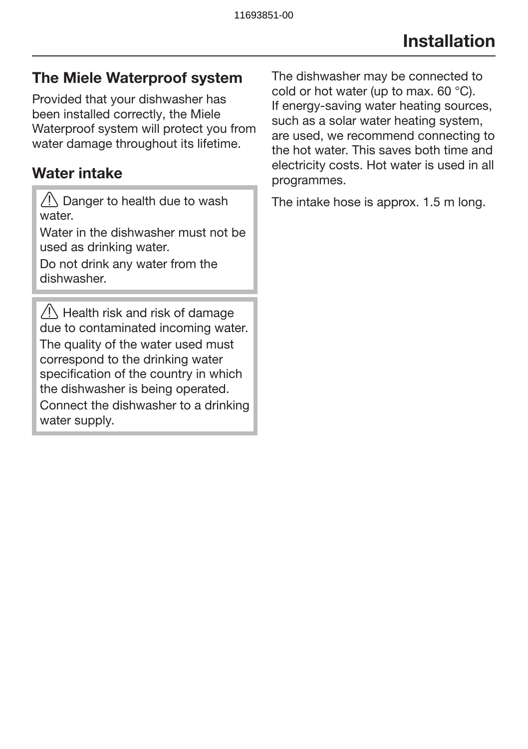## The Miele Waterproof system

Provided that your dishwasher has been installed correctly, the Miele Waterproof system will protect you from water damage throughout its lifetime.

### Water intake

 $\sqrt{!}$  Danger to health due to wash water

Water in the dishwasher must not be used as drinking water.

Do not drink any water from the dishwasher.

 $\bigwedge$  Health risk and risk of damage due to contaminated incoming water. The quality of the water used must correspond to the drinking water specification of the country in which the dishwasher is being operated. Connect the dishwasher to a drinking water supply.

The dishwasher may be connected to cold or hot water (up to max. 60 °C). If energy-saving water heating sources, such as a solar water heating system, are used, we recommend connecting to the hot water. This saves both time and electricity costs. Hot water is used in all programmes.

The intake hose is approx. 1.5 m long.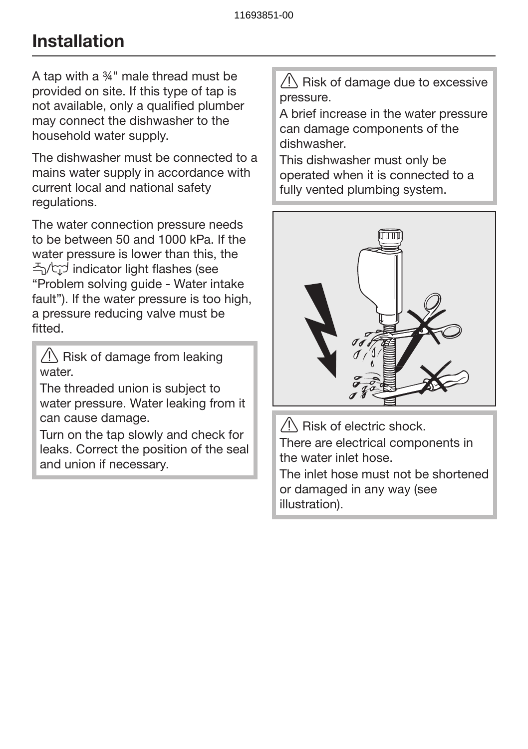# Installation

A tap with a ¾" male thread must be provided on site. If this type of tap is not available, only a qualified plumber may connect the dishwasher to the household water supply.

The dishwasher must be connected to a mains water supply in accordance with current local and national safety regulations.

The water connection pressure needs to be between 50 and 1000 kPa. If the water pressure is lower than this, the / indicator light flashes (see "Problem solving guide - Water intake fault"). If the water pressure is too high, a pressure reducing valve must be fitted.

 $\sqrt{N}$  Risk of damage from leaking water.

The threaded union is subject to water pressure. Water leaking from it can cause damage.

Turn on the tap slowly and check for leaks. Correct the position of the seal and union if necessary.

 $\sqrt{N}$  Risk of damage due to excessive pressure.

A brief increase in the water pressure can damage components of the dishwasher.

This dishwasher must only be operated when it is connected to a fully vented plumbing system.



 $\sqrt{N}$  Risk of electric shock. There are electrical components in the water inlet hose.

The inlet hose must not be shortened or damaged in any way (see illustration).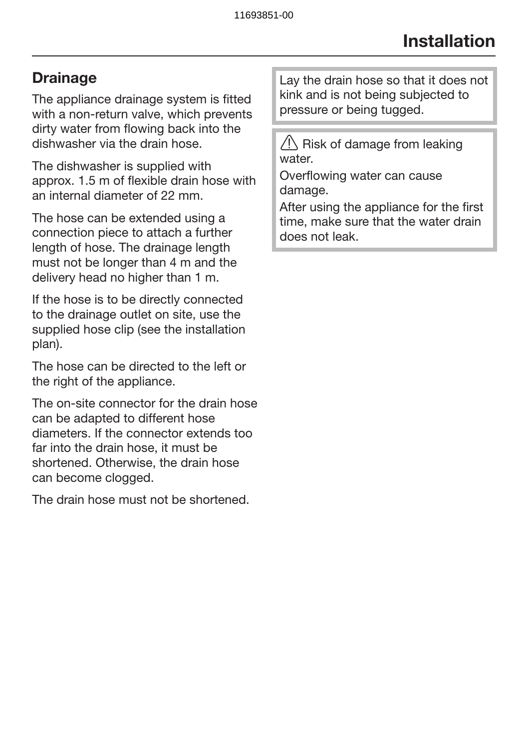## **Drainage**

The appliance drainage system is fitted with a non-return valve, which prevents dirty water from flowing back into the dishwasher via the drain hose.

The dishwasher is supplied with approx. 1.5 m of flexible drain hose with an internal diameter of 22 mm.

The hose can be extended using a connection piece to attach a further length of hose. The drainage length must not be longer than 4 m and the delivery head no higher than 1 m.

If the hose is to be directly connected to the drainage outlet on site, use the supplied hose clip (see the installation plan).

The hose can be directed to the left or the right of the appliance.

The on-site connector for the drain hose can be adapted to different hose diameters. If the connector extends too far into the drain hose, it must be shortened. Otherwise, the drain hose can become clogged.

The drain hose must not be shortened.

Lay the drain hose so that it does not kink and is not being subjected to pressure or being tugged.

 $\sqrt{N}$  Risk of damage from leaking water

Overflowing water can cause damage.

After using the appliance for the first time, make sure that the water drain does not leak.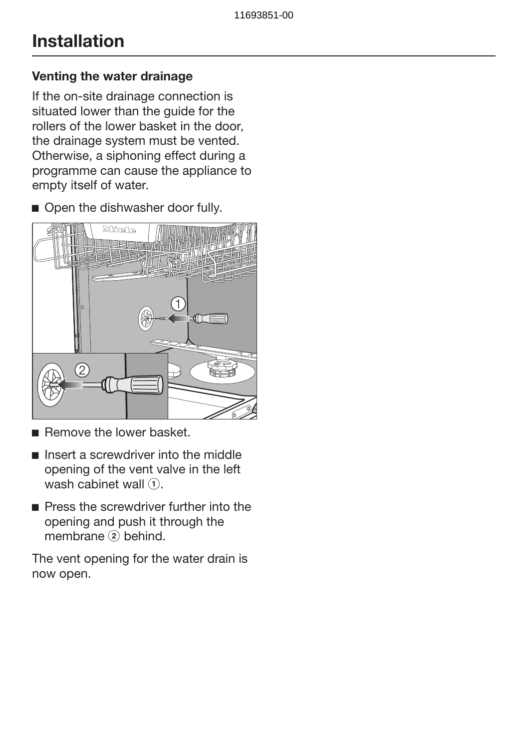# Installation

#### Venting the water drainage

If the on-site drainage connection is situated lower than the quide for the rollers of the lower basket in the door, the drainage system must be vented. Otherwise, a siphoning effect during a programme can cause the appliance to empty itself of water.

Open the dishwasher door fully.



- Remove the lower basket.
- $\blacksquare$  Insert a screwdriver into the middle opening of the vent valve in the left wash cabinet wall  $(1)$ .
- **Press the screwdriver further into the** opening and push it through the membrane  $(2)$  behind.

The vent opening for the water drain is now open.